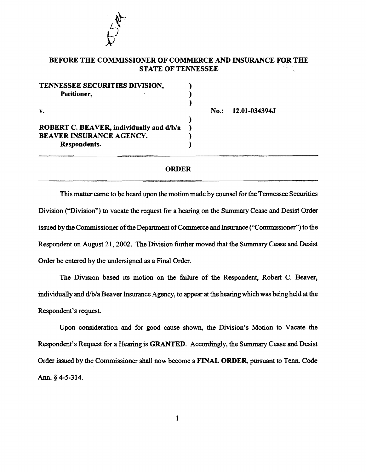

## BEFORE THE COMMISSIONER OF COMMERCE AND INSURANCE FOR THE STATE OF TENNESSEE

| TENNESSEE SECURITIES DIVISION,           |  |
|------------------------------------------|--|
| Petitioner,                              |  |
|                                          |  |
| v.                                       |  |
|                                          |  |
| ROBERT C. BEAVER, individually and d/b/a |  |
| <b>BEAVER INSURANCE AGENCY.</b>          |  |
| Respondents.                             |  |
|                                          |  |

No.: 12.01-034394.1

## ORDER

This matter came to be heard upon the motion made by counsel for the Tennessee Securities Division ("Division") to vacate the request for a hearing on the Summary Cease and Desist Order issued by the Commissioner of the Department of Commerce and Insurance ("Commissioner") to the Respondent on August 21, 2002. The Division further moved that the Summary Cease and Desist Order be entered by the undersigned as a Final Order.

The Division based its motion on the failure of the Respondent, Robert C. Beaver, individually and d/b/a Beaver Insurance Agency, to appear at the hearing which was being held at the Respondent's request.

Upon consideration and for good cause shown, the Division's Motion to Vacate the Respondent's Request for a Hearing is GRANTED. Accordingly, the Summary Cease and Desist Order issued by the Commissioner shall now become a FINAL ORDER, pursuant to Tenn. Code Ann. § 4-5-314.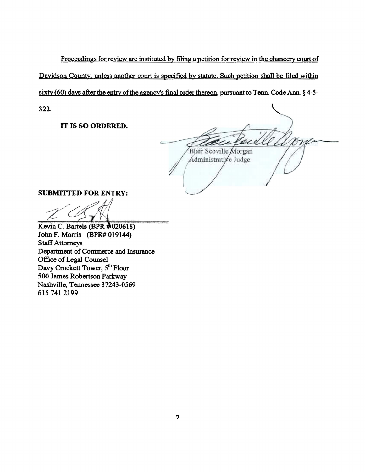Proceedings for review are instituted by filing a petition for review in the chancery court of Davidson County, unless another court is specified by statute. Such petition shall be filed within sixty (60) days after the entry of the agency's final order thereon, pursuant to Tenn. Code Ann.  $\S$  4-5-322.

IT IS SO ORDERED.

Blair Scoville Morgan Administrative Judge

SUBMITTED FOR ENTRY:

' . ~~ <sup>1</sup> ' - . - - . -~- - -- - - ' ~ . .. - - *<sup>Q</sup>*. <sup>~</sup> **. \_\_** :t!ll lid ~W: . **s** .a , .. ~ ax. .. ttat!izD:l) .. .... :e\_., .... , \_\_\_ \_ ,\_ .. - Kevin C. Bartels (BPR ~020618)

John F. Morris (BPR# 019144) Staff Attorneys Department of Commerce and Insurance Office of Legal Counsel Davy Crockett Tower, 5<sup>th</sup> Floor 500 James Robertson Parkway Nashville, Tennessee 37243-0569 615 741 2199